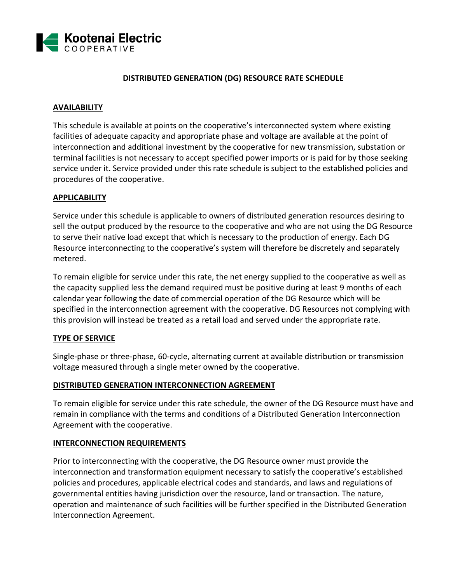

#### **DISTRIBUTED GENERATION (DG) RESOURCE RATE SCHEDULE**

#### **AVAILABILITY**

This schedule is available at points on the cooperative's interconnected system where existing facilities of adequate capacity and appropriate phase and voltage are available at the point of interconnection and additional investment by the cooperative for new transmission, substation or terminal facilities is not necessary to accept specified power imports or is paid for by those seeking service under it. Service provided under this rate schedule is subject to the established policies and procedures of the cooperative.

#### **APPLICABILITY**

Service under this schedule is applicable to owners of distributed generation resources desiring to sell the output produced by the resource to the cooperative and who are not using the DG Resource to serve their native load except that which is necessary to the production of energy. Each DG Resource interconnecting to the cooperative's system will therefore be discretely and separately metered.

To remain eligible for service under this rate, the net energy supplied to the cooperative as well as the capacity supplied less the demand required must be positive during at least 9 months of each calendar year following the date of commercial operation of the DG Resource which will be specified in the interconnection agreement with the cooperative. DG Resources not complying with this provision will instead be treated as a retail load and served under the appropriate rate.

#### **TYPE OF SERVICE**

Single-phase or three-phase, 60-cycle, alternating current at available distribution or transmission voltage measured through a single meter owned by the cooperative.

#### **DISTRIBUTED GENERATION INTERCONNECTION AGREEMENT**

To remain eligible for service under this rate schedule, the owner of the DG Resource must have and remain in compliance with the terms and conditions of a Distributed Generation Interconnection Agreement with the cooperative.

#### **INTERCONNECTION REQUIREMENTS**

Prior to interconnecting with the cooperative, the DG Resource owner must provide the interconnection and transformation equipment necessary to satisfy the cooperative's established policies and procedures, applicable electrical codes and standards, and laws and regulations of governmental entities having jurisdiction over the resource, land or transaction. The nature, operation and maintenance of such facilities will be further specified in the Distributed Generation Interconnection Agreement.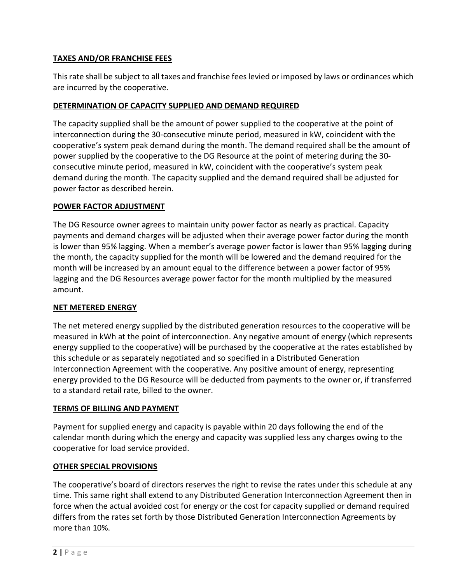## **TAXES AND/OR FRANCHISE FEES**

This rate shall be subject to all taxes and franchise fees levied or imposed by laws or ordinances which are incurred by the cooperative.

### **DETERMINATION OF CAPACITY SUPPLIED AND DEMAND REQUIRED**

The capacity supplied shall be the amount of power supplied to the cooperative at the point of interconnection during the 30-consecutive minute period, measured in kW, coincident with the cooperative's system peak demand during the month. The demand required shall be the amount of power supplied by the cooperative to the DG Resource at the point of metering during the 30 consecutive minute period, measured in kW, coincident with the cooperative's system peak demand during the month. The capacity supplied and the demand required shall be adjusted for power factor as described herein.

### **POWER FACTOR ADJUSTMENT**

The DG Resource owner agrees to maintain unity power factor as nearly as practical. Capacity payments and demand charges will be adjusted when their average power factor during the month is lower than 95% lagging. When a member's average power factor is lower than 95% lagging during the month, the capacity supplied for the month will be lowered and the demand required for the month will be increased by an amount equal to the difference between a power factor of 95% lagging and the DG Resources average power factor for the month multiplied by the measured amount.

### **NET METERED ENERGY**

The net metered energy supplied by the distributed generation resources to the cooperative will be measured in kWh at the point of interconnection. Any negative amount of energy (which represents energy supplied to the cooperative) will be purchased by the cooperative at the rates established by this schedule or as separately negotiated and so specified in a Distributed Generation Interconnection Agreement with the cooperative. Any positive amount of energy, representing energy provided to the DG Resource will be deducted from payments to the owner or, if transferred to a standard retail rate, billed to the owner.

### **TERMS OF BILLING AND PAYMENT**

Payment for supplied energy and capacity is payable within 20 days following the end of the calendar month during which the energy and capacity was supplied less any charges owing to the cooperative for load service provided.

### **OTHER SPECIAL PROVISIONS**

The cooperative's board of directors reserves the right to revise the rates under this schedule at any time. This same right shall extend to any Distributed Generation Interconnection Agreement then in force when the actual avoided cost for energy or the cost for capacity supplied or demand required differs from the rates set forth by those Distributed Generation Interconnection Agreements by more than 10%.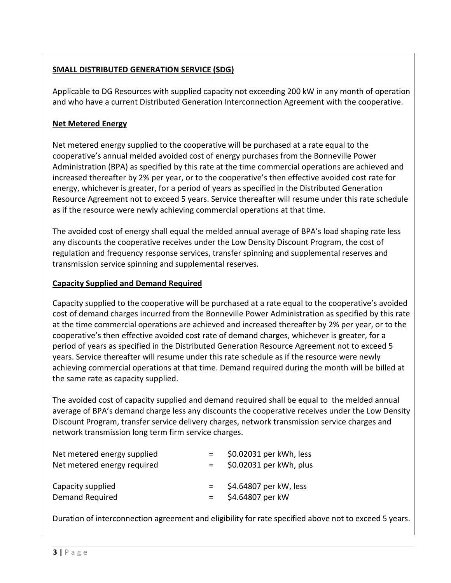# **SMALL DISTRIBUTED GENERATION SERVICE (SDG)**

Applicable to DG Resources with supplied capacity not exceeding 200 kW in any month of operation and who have a current Distributed Generation Interconnection Agreement with the cooperative.

## **Net Metered Energy**

Net metered energy supplied to the cooperative will be purchased at a rate equal to the cooperative's annual melded avoided cost of energy purchases from the Bonneville Power Administration (BPA) as specified by this rate at the time commercial operations are achieved and increased thereafter by 2% per year, or to the cooperative's then effective avoided cost rate for energy, whichever is greater, for a period of years as specified in the Distributed Generation Resource Agreement not to exceed 5 years. Service thereafter will resume under this rate schedule as if the resource were newly achieving commercial operations at that time.

The avoided cost of energy shall equal the melded annual average of BPA's load shaping rate less any discounts the cooperative receives under the Low Density Discount Program, the cost of regulation and frequency response services, transfer spinning and supplemental reserves and transmission service spinning and supplemental reserves.

#### **Capacity Supplied and Demand Required**

Capacity supplied to the cooperative will be purchased at a rate equal to the cooperative's avoided cost of demand charges incurred from the Bonneville Power Administration as specified by this rate at the time commercial operations are achieved and increased thereafter by 2% per year, or to the cooperative's then effective avoided cost rate of demand charges, whichever is greater, for a period of years as specified in the Distributed Generation Resource Agreement not to exceed 5 years. Service thereafter will resume under this rate schedule as if the resource were newly achieving commercial operations at that time. Demand required during the month will be billed at the same rate as capacity supplied.

The avoided cost of capacity supplied and demand required shall be equal to the melded annual average of BPA's demand charge less any discounts the cooperative receives under the Low Density Discount Program, transfer service delivery charges, network transmission service charges and network transmission long term firm service charges.

|     | \$0.02031 per kWh, less |
|-----|-------------------------|
| $=$ | \$0.02031 per kWh, plus |
|     |                         |
| $=$ | \$4.64807 per kW, less  |
| $=$ | \$4.64807 per kW        |
|     |                         |

Duration of interconnection agreement and eligibility for rate specified above not to exceed 5 years.